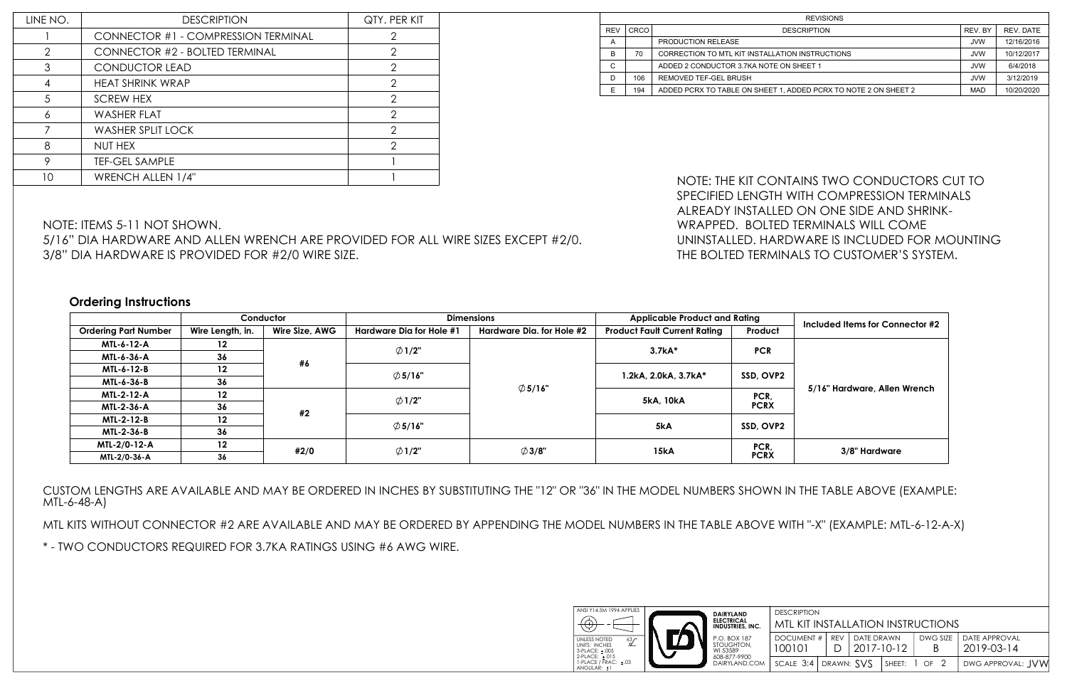NOTE: ITEMS 5-11 NOT SHOWN.

5/16" DIA HARDWARE AND ALLEN WRENCH ARE PROVIDED FOR ALL WIRE SIZES EXCEPT #2/0.

3/8" DIA HARDWARE IS PROVIDED FOR #2/0 WIRE SIZE.

MTL KITS WITHOUT CONNECTOR #2 ARE AVAILABLE AND MAY BE ORDERED BY APPENDING THE MODEL NUMBERS IN THE TA \* - TWO CONDUCTORS REQUIRED FOR 3.7KA RATINGS USING #6 AWG WIRE.

CUSTOM LENGTHS ARE AVAILABLE AND MAY BE ORDERED IN INCHES BY SUBSTITUTING THE "12" OR "36" IN THE MODEL NUMBERS SHOWN IN THE TABLE ABOVE (EXAMPLE: MTL-6-48-A)

## **Ordering Instructions**

| LINE NO.       | <b>DESCRIPTION</b>                    | QTY. PER KIT   |
|----------------|---------------------------------------|----------------|
|                | CONNECTOR #1 - COMPRESSION TERMINAL   | 2              |
| $\overline{2}$ | <b>CONNECTOR #2 - BOLTED TERMINAL</b> | $\overline{2}$ |
| 3              | <b>CONDUCTOR LEAD</b>                 | $\overline{2}$ |
| 4              | <b>HEAT SHRINK WRAP</b>               | 2              |
| 5              | <b>SCREW HEX</b>                      | 2              |
| 6              | <b>WASHER FLAT</b>                    | 2              |
|                | <b>WASHER SPLIT LOCK</b>              | $\mathfrak{D}$ |
| 8              | NUT HEX                               | 2              |
| 9              | <b>TEF-GEL SAMPLE</b>                 |                |
| 10             | <b>WRENCH ALLEN 1/4"</b>              |                |

| <b>REV</b><br>CRCO<br><b>DESCRIPTION</b><br>PRODUCTION RELEASE<br>A<br>B<br>70<br>CORRECTION TO MTL KIT INSTALLATION INSTRUCTIONS<br>C<br>ADDED 2 CONDUCTOR 3.7KA NOTE ON SHEET 1<br>D<br>106<br>REMOVED TEF-GEL BRUSH<br>E<br>194<br>ADDED PCRX TO TABLE ON SHEET 1, ADDED PCRX TO NOTE 2 ON SHEET 2 | REV. BY<br>REV. DATE<br><b>JVW</b><br>12/16/2016<br><b>JVW</b><br>10/12/2017<br><b>JVW</b><br>6/4/2018<br>3/12/2019<br><b>JVW</b><br><b>MAD</b><br>10/20/2020 |  |  |  |  |  |  |  |
|-------------------------------------------------------------------------------------------------------------------------------------------------------------------------------------------------------------------------------------------------------------------------------------------------------|---------------------------------------------------------------------------------------------------------------------------------------------------------------|--|--|--|--|--|--|--|
|                                                                                                                                                                                                                                                                                                       |                                                                                                                                                               |  |  |  |  |  |  |  |
|                                                                                                                                                                                                                                                                                                       |                                                                                                                                                               |  |  |  |  |  |  |  |
|                                                                                                                                                                                                                                                                                                       |                                                                                                                                                               |  |  |  |  |  |  |  |
|                                                                                                                                                                                                                                                                                                       |                                                                                                                                                               |  |  |  |  |  |  |  |
|                                                                                                                                                                                                                                                                                                       |                                                                                                                                                               |  |  |  |  |  |  |  |
| NOTE: THE KIT CONTAINS TWO CONDUCTORS CUT TO<br>SPECIFIED LENGTH WITH COMPRESSION TERMINALS<br>ALREADY INSTALLED ON ONE SIDE AND SHRINK-<br>WRAPPED. BOLTED TERMINALS WILL COME<br>UNINSTALLED. HARDWARE IS INCLUDED FOR MOUNTING<br>THE BOLTED TERMINALS TO CUSTOMER'S SYSTEM.                       |                                                                                                                                                               |  |  |  |  |  |  |  |
|                                                                                                                                                                                                                                                                                                       |                                                                                                                                                               |  |  |  |  |  |  |  |
|                                                                                                                                                                                                                                                                                                       |                                                                                                                                                               |  |  |  |  |  |  |  |
| <b>Applicable Product and Rating</b><br>Included Items for Connector #2                                                                                                                                                                                                                               |                                                                                                                                                               |  |  |  |  |  |  |  |
| Product                                                                                                                                                                                                                                                                                               |                                                                                                                                                               |  |  |  |  |  |  |  |
| 3.7kA*<br><b>PCR</b>                                                                                                                                                                                                                                                                                  |                                                                                                                                                               |  |  |  |  |  |  |  |
| SSD, OVP2<br>1.2kA, 2.0kA, 3.7kA*                                                                                                                                                                                                                                                                     |                                                                                                                                                               |  |  |  |  |  |  |  |
| 5/16" Hardware, Allen Wrench<br>PCR<br>5kA, 10kA<br><b>PCRX</b>                                                                                                                                                                                                                                       |                                                                                                                                                               |  |  |  |  |  |  |  |
| <b>Product Fault Current Rating</b><br>5kA<br>SSD, OVP2                                                                                                                                                                                                                                               |                                                                                                                                                               |  |  |  |  |  |  |  |

|                             |                  | Conductor      | <b>Dimensions</b>        |                           | <b>Applicable Product and Rating</b> | Included Items for Connector #2 |                              |  |
|-----------------------------|------------------|----------------|--------------------------|---------------------------|--------------------------------------|---------------------------------|------------------------------|--|
| <b>Ordering Part Number</b> | Wire Length, in. | Wire Size, AWG | Hardware Dia for Hole #1 | Hardware Dia. for Hole #2 | <b>Product Fault Current Rating</b>  | Product                         |                              |  |
| MTL-6-12-A                  | 12               |                | $\emptyset$ 1/2"<br>#6   |                           | 3.7kA*                               | <b>PCR</b>                      |                              |  |
| MTL-6-36-A                  | 36               |                |                          |                           |                                      |                                 |                              |  |
| MTL-6-12-B                  | 12               |                |                          | $\emptyset$ 5/16"         |                                      | 1.2kA, 2.0kA, 3.7kA*            | SSD, OVP2                    |  |
| MTL-6-36-B                  | 36               |                |                          | $\emptyset$ 5/16"         |                                      |                                 | 5/16" Hardware, Allen Wrench |  |
| <b>MTL-2-12-A</b>           | $12 \,$          |                |                          | $\emptyset$ 1/2"          |                                      | PCR,                            |                              |  |
| MTL-2-36-A                  | 36               |                | #2                       |                           |                                      | 5kA, 10kA                       | <b>PCRX</b>                  |  |
| <b>MTL-2-12-B</b>           | 12               |                | $\emptyset$ 5/16"        |                           | 5kA                                  | SSD, OVP2                       |                              |  |
| MTL-2-36-B                  | 36               |                |                          |                           |                                      |                                 |                              |  |
| MTL-2/0-12-A                | $12 \,$          | #2/0           |                          | $\emptyset$ 3/8"          | 15kA                                 | PCR,                            |                              |  |
| MTL-2/0-36-A                | 36               |                | $\emptyset$ 1/2"         |                           |                                      | <b>PCRX</b>                     | 3/8" Hardware                |  |

| MTL KIT INSTALLATION INSTRUCTIONS        |  |                                                 |  |    |  |                                               |
|------------------------------------------|--|-------------------------------------------------|--|----|--|-----------------------------------------------|
| 100101                                   |  | DOCUMENT #   REV   DATE DRAWN<br>D   2017-10-12 |  | -R |  | DWG SIZE   DATE APPROVAL<br>$12019 - 03 - 14$ |
| scale 3:4   drawn: $SVS$   sheet: 1 of 2 |  |                                                 |  |    |  | DWG APPROVAL: JVW                             |